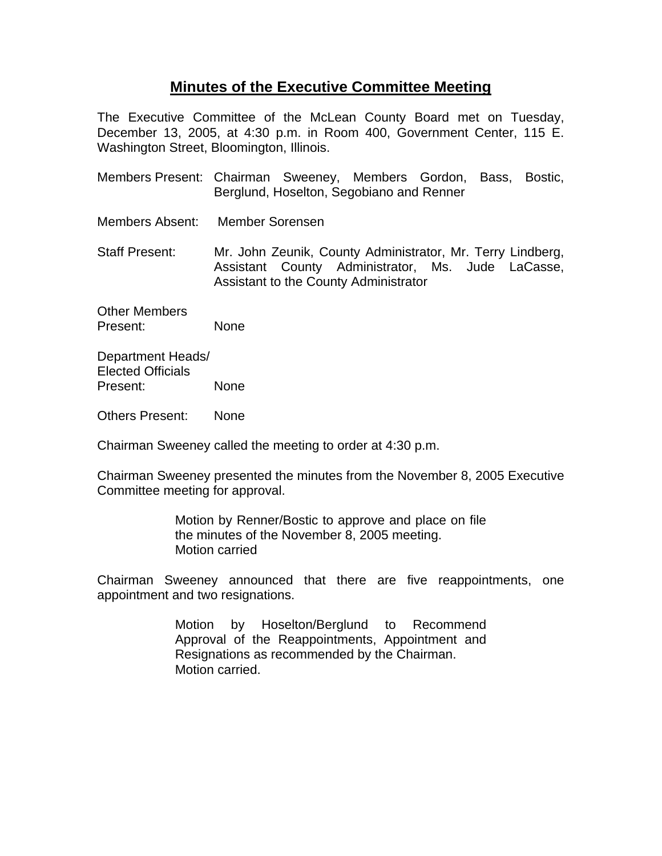## **Minutes of the Executive Committee Meeting**

The Executive Committee of the McLean County Board met on Tuesday, December 13, 2005, at 4:30 p.m. in Room 400, Government Center, 115 E. Washington Street, Bloomington, Illinois.

- Members Present: Chairman Sweeney, Members Gordon, Bass, Bostic, Berglund, Hoselton, Segobiano and Renner
- Members Absent: Member Sorensen

Staff Present: Mr. John Zeunik, County Administrator, Mr. Terry Lindberg, Assistant County Administrator, Ms. Jude LaCasse, Assistant to the County Administrator

Other Members Present: None

Department Heads/ Elected Officials Present: None

Others Present: None

Chairman Sweeney called the meeting to order at 4:30 p.m.

Chairman Sweeney presented the minutes from the November 8, 2005 Executive Committee meeting for approval.

> Motion by Renner/Bostic to approve and place on file the minutes of the November 8, 2005 meeting. Motion carried

Chairman Sweeney announced that there are five reappointments, one appointment and two resignations.

> Motion by Hoselton/Berglund to Recommend Approval of the Reappointments, Appointment and Resignations as recommended by the Chairman. Motion carried.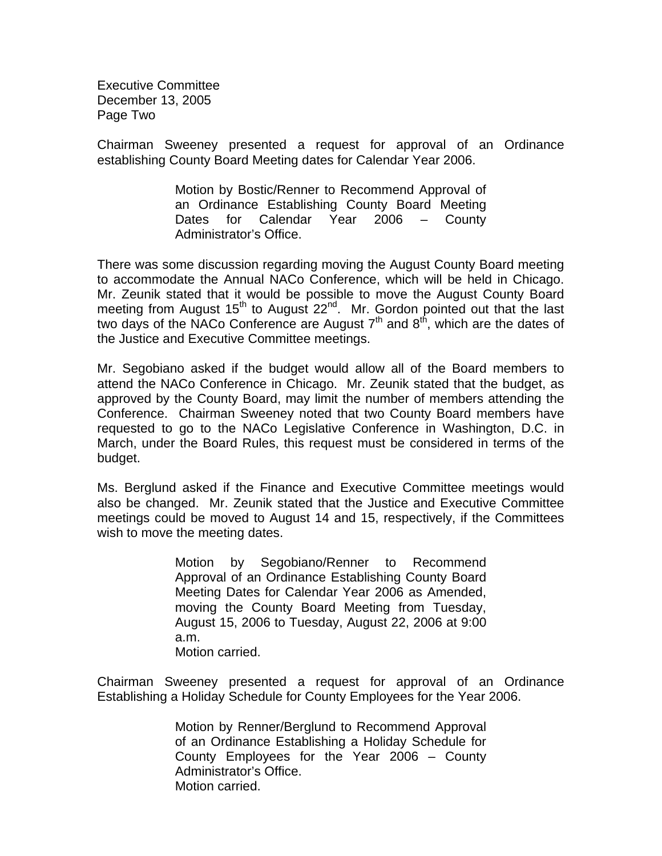Executive Committee December 13, 2005 Page Two

Chairman Sweeney presented a request for approval of an Ordinance establishing County Board Meeting dates for Calendar Year 2006.

> Motion by Bostic/Renner to Recommend Approval of an Ordinance Establishing County Board Meeting Dates for Calendar Year 2006 – County Administrator's Office.

There was some discussion regarding moving the August County Board meeting to accommodate the Annual NACo Conference, which will be held in Chicago. Mr. Zeunik stated that it would be possible to move the August County Board meeting from August 15<sup>th</sup> to August 22<sup>nd</sup>. Mr. Gordon pointed out that the last two days of the NACo Conference are August  $7<sup>th</sup>$  and  $8<sup>th</sup>$ , which are the dates of the Justice and Executive Committee meetings.

Mr. Segobiano asked if the budget would allow all of the Board members to attend the NACo Conference in Chicago. Mr. Zeunik stated that the budget, as approved by the County Board, may limit the number of members attending the Conference. Chairman Sweeney noted that two County Board members have requested to go to the NACo Legislative Conference in Washington, D.C. in March, under the Board Rules, this request must be considered in terms of the budget.

Ms. Berglund asked if the Finance and Executive Committee meetings would also be changed. Mr. Zeunik stated that the Justice and Executive Committee meetings could be moved to August 14 and 15, respectively, if the Committees wish to move the meeting dates.

> Motion by Segobiano/Renner to Recommend Approval of an Ordinance Establishing County Board Meeting Dates for Calendar Year 2006 as Amended, moving the County Board Meeting from Tuesday, August 15, 2006 to Tuesday, August 22, 2006 at 9:00 a.m. Motion carried.

Chairman Sweeney presented a request for approval of an Ordinance Establishing a Holiday Schedule for County Employees for the Year 2006.

> Motion by Renner/Berglund to Recommend Approval of an Ordinance Establishing a Holiday Schedule for County Employees for the Year 2006 – County Administrator's Office. Motion carried.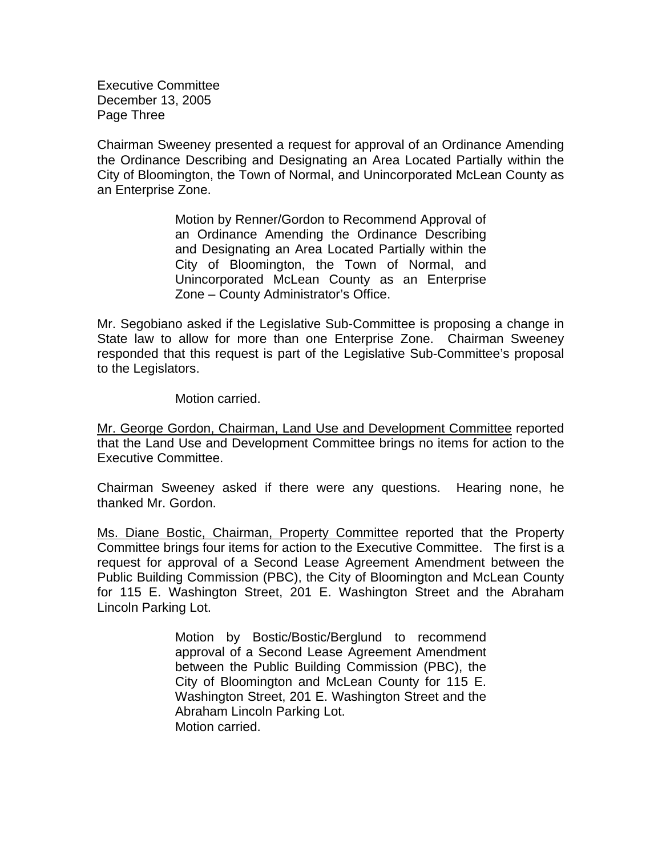Executive Committee December 13, 2005 Page Three

Chairman Sweeney presented a request for approval of an Ordinance Amending the Ordinance Describing and Designating an Area Located Partially within the City of Bloomington, the Town of Normal, and Unincorporated McLean County as an Enterprise Zone.

> Motion by Renner/Gordon to Recommend Approval of an Ordinance Amending the Ordinance Describing and Designating an Area Located Partially within the City of Bloomington, the Town of Normal, and Unincorporated McLean County as an Enterprise Zone – County Administrator's Office.

Mr. Segobiano asked if the Legislative Sub-Committee is proposing a change in State law to allow for more than one Enterprise Zone. Chairman Sweeney responded that this request is part of the Legislative Sub-Committee's proposal to the Legislators.

Motion carried.

Mr. George Gordon, Chairman, Land Use and Development Committee reported that the Land Use and Development Committee brings no items for action to the Executive Committee.

Chairman Sweeney asked if there were any questions. Hearing none, he thanked Mr. Gordon.

Ms. Diane Bostic, Chairman, Property Committee reported that the Property Committee brings four items for action to the Executive Committee. The first is a request for approval of a Second Lease Agreement Amendment between the Public Building Commission (PBC), the City of Bloomington and McLean County for 115 E. Washington Street, 201 E. Washington Street and the Abraham Lincoln Parking Lot.

> Motion by Bostic/Bostic/Berglund to recommend approval of a Second Lease Agreement Amendment between the Public Building Commission (PBC), the City of Bloomington and McLean County for 115 E. Washington Street, 201 E. Washington Street and the Abraham Lincoln Parking Lot. Motion carried.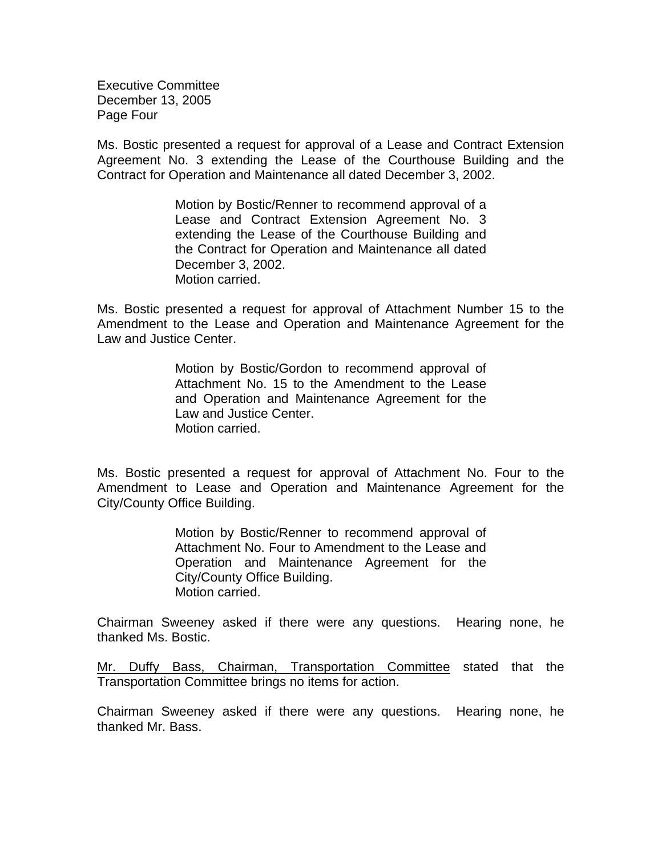Executive Committee December 13, 2005 Page Four

Ms. Bostic presented a request for approval of a Lease and Contract Extension Agreement No. 3 extending the Lease of the Courthouse Building and the Contract for Operation and Maintenance all dated December 3, 2002.

> Motion by Bostic/Renner to recommend approval of a Lease and Contract Extension Agreement No. 3 extending the Lease of the Courthouse Building and the Contract for Operation and Maintenance all dated December 3, 2002. Motion carried.

Ms. Bostic presented a request for approval of Attachment Number 15 to the Amendment to the Lease and Operation and Maintenance Agreement for the Law and Justice Center.

> Motion by Bostic/Gordon to recommend approval of Attachment No. 15 to the Amendment to the Lease and Operation and Maintenance Agreement for the Law and Justice Center. Motion carried.

Ms. Bostic presented a request for approval of Attachment No. Four to the Amendment to Lease and Operation and Maintenance Agreement for the City/County Office Building.

> Motion by Bostic/Renner to recommend approval of Attachment No. Four to Amendment to the Lease and Operation and Maintenance Agreement for the City/County Office Building. Motion carried.

Chairman Sweeney asked if there were any questions. Hearing none, he thanked Ms. Bostic.

Mr. Duffy Bass, Chairman, Transportation Committee stated that the Transportation Committee brings no items for action.

Chairman Sweeney asked if there were any questions. Hearing none, he thanked Mr. Bass.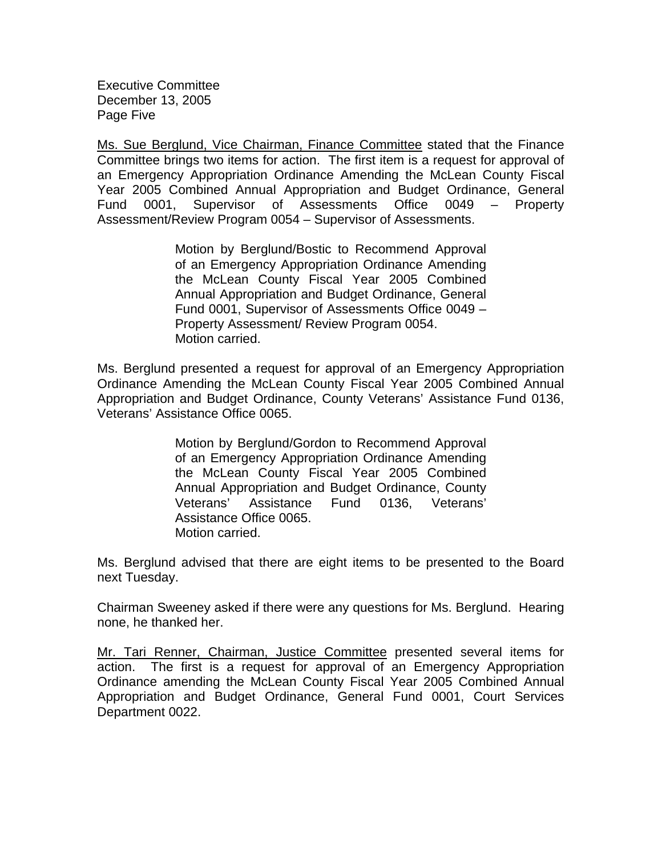Executive Committee December 13, 2005 Page Five

Ms. Sue Berglund, Vice Chairman, Finance Committee stated that the Finance Committee brings two items for action. The first item is a request for approval of an Emergency Appropriation Ordinance Amending the McLean County Fiscal Year 2005 Combined Annual Appropriation and Budget Ordinance, General Fund 0001, Supervisor of Assessments Office 0049 – Property Assessment/Review Program 0054 – Supervisor of Assessments.

> Motion by Berglund/Bostic to Recommend Approval of an Emergency Appropriation Ordinance Amending the McLean County Fiscal Year 2005 Combined Annual Appropriation and Budget Ordinance, General Fund 0001, Supervisor of Assessments Office 0049 – Property Assessment/ Review Program 0054. Motion carried.

Ms. Berglund presented a request for approval of an Emergency Appropriation Ordinance Amending the McLean County Fiscal Year 2005 Combined Annual Appropriation and Budget Ordinance, County Veterans' Assistance Fund 0136, Veterans' Assistance Office 0065.

> Motion by Berglund/Gordon to Recommend Approval of an Emergency Appropriation Ordinance Amending the McLean County Fiscal Year 2005 Combined Annual Appropriation and Budget Ordinance, County Veterans' Assistance Fund 0136, Veterans' Assistance Office 0065. Motion carried.

Ms. Berglund advised that there are eight items to be presented to the Board next Tuesday.

Chairman Sweeney asked if there were any questions for Ms. Berglund. Hearing none, he thanked her.

Mr. Tari Renner, Chairman, Justice Committee presented several items for action. The first is a request for approval of an Emergency Appropriation Ordinance amending the McLean County Fiscal Year 2005 Combined Annual Appropriation and Budget Ordinance, General Fund 0001, Court Services Department 0022.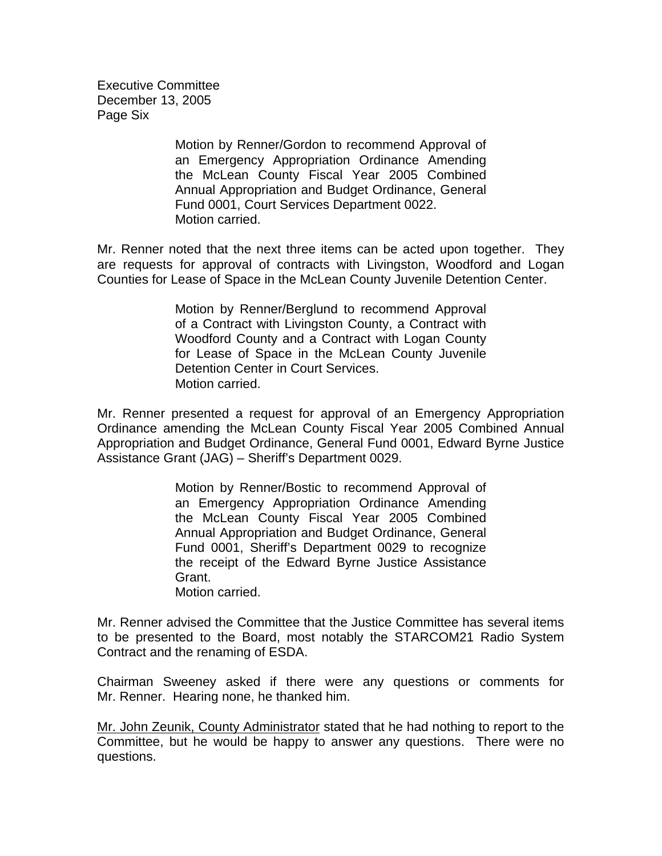Executive Committee December 13, 2005 Page Six

> Motion by Renner/Gordon to recommend Approval of an Emergency Appropriation Ordinance Amending the McLean County Fiscal Year 2005 Combined Annual Appropriation and Budget Ordinance, General Fund 0001, Court Services Department 0022. Motion carried.

Mr. Renner noted that the next three items can be acted upon together. They are requests for approval of contracts with Livingston, Woodford and Logan Counties for Lease of Space in the McLean County Juvenile Detention Center.

> Motion by Renner/Berglund to recommend Approval of a Contract with Livingston County, a Contract with Woodford County and a Contract with Logan County for Lease of Space in the McLean County Juvenile Detention Center in Court Services. Motion carried.

Mr. Renner presented a request for approval of an Emergency Appropriation Ordinance amending the McLean County Fiscal Year 2005 Combined Annual Appropriation and Budget Ordinance, General Fund 0001, Edward Byrne Justice Assistance Grant (JAG) – Sheriff's Department 0029.

> Motion by Renner/Bostic to recommend Approval of an Emergency Appropriation Ordinance Amending the McLean County Fiscal Year 2005 Combined Annual Appropriation and Budget Ordinance, General Fund 0001, Sheriff's Department 0029 to recognize the receipt of the Edward Byrne Justice Assistance Grant. Motion carried.

Mr. Renner advised the Committee that the Justice Committee has several items to be presented to the Board, most notably the STARCOM21 Radio System Contract and the renaming of ESDA.

Chairman Sweeney asked if there were any questions or comments for Mr. Renner. Hearing none, he thanked him.

Mr. John Zeunik, County Administrator stated that he had nothing to report to the Committee, but he would be happy to answer any questions. There were no questions.